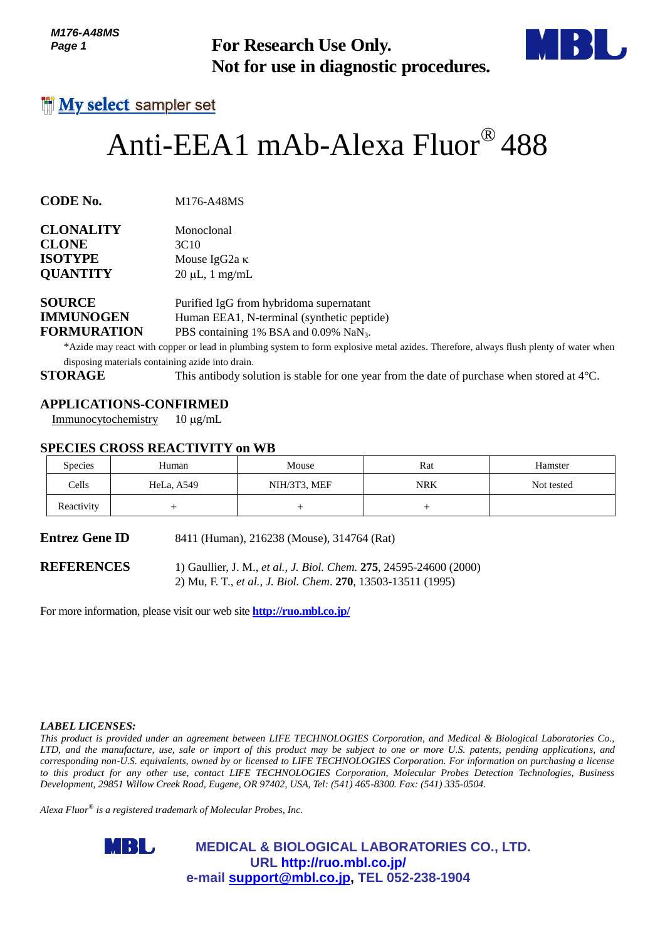*M176-A48MS Page 1*



# Anti-EEA1 mAb-Alexa Fluor® 488

| <b>CLONALITY</b> | Monoclonal           |
|------------------|----------------------|
| <b>CLONE</b>     | 3C <sub>10</sub>     |
| <b>ISOTYPE</b>   | Mouse IgG2a $\kappa$ |
| <b>QUANTITY</b>  | $20 \mu L$ , 1 mg/mL |
|                  |                      |

## **APPLICATIONS-CONFIRMED**

#### **SPECIES CROSS REACTIVITY on WB**

| טווט <del>ו מ</del> יט <i>ו</i> וו<br>Page 1                              |                                                                                         | <b>For Research Use Only.</b><br>Not for use in diagnostic procedures.                                                                                                                                                                                                                                                                                                      |            |                                                                                                                                      |  |
|---------------------------------------------------------------------------|-----------------------------------------------------------------------------------------|-----------------------------------------------------------------------------------------------------------------------------------------------------------------------------------------------------------------------------------------------------------------------------------------------------------------------------------------------------------------------------|------------|--------------------------------------------------------------------------------------------------------------------------------------|--|
|                                                                           | <b>My select</b> sampler set                                                            |                                                                                                                                                                                                                                                                                                                                                                             |            |                                                                                                                                      |  |
|                                                                           |                                                                                         | Anti-EEA1 mAb-Alexa Fluor® 488                                                                                                                                                                                                                                                                                                                                              |            |                                                                                                                                      |  |
| CODE No.                                                                  | M176-A48MS                                                                              |                                                                                                                                                                                                                                                                                                                                                                             |            |                                                                                                                                      |  |
| <b>CLONALITY</b><br>CLONE<br><b>ISOTYPE</b><br><b>QUANTITY</b>            | Monoclonal<br>3C10<br>Mouse IgG2a κ<br>$20 \mu L$ , 1 mg/mL                             |                                                                                                                                                                                                                                                                                                                                                                             |            |                                                                                                                                      |  |
| <b>SOURCE</b><br><b>IMMUNOGEN</b><br><b>FORMURATION</b><br><b>STORAGE</b> | disposing materials containing azide into drain.                                        | Purified IgG from hybridoma supernatant<br>Human EEA1, N-terminal (synthetic peptide)<br>PBS containing 1% BSA and 0.09% NaN <sub>3</sub> .<br>This antibody solution is stable for one year from the date of purchase when stored at $4^{\circ}$ C.                                                                                                                        |            | *Azide may react with copper or lead in plumbing system to form explosive metal azides. Therefore, always flush plenty of water when |  |
| Immunocytochemistry                                                       | <b>APPLICATIONS-CONFIRMED</b><br>$10 \mu g/mL$<br><b>SPECIES CROSS REACTIVITY on WB</b> |                                                                                                                                                                                                                                                                                                                                                                             |            |                                                                                                                                      |  |
| <b>Species</b>                                                            | Human                                                                                   | Mouse                                                                                                                                                                                                                                                                                                                                                                       | Rat        | Hamster                                                                                                                              |  |
| Cells                                                                     | HeLa, A549                                                                              | NIH/3T3, MEF                                                                                                                                                                                                                                                                                                                                                                | <b>NRK</b> | Not tested                                                                                                                           |  |
| Reactivity                                                                | $^{+}$                                                                                  | $^{+}$                                                                                                                                                                                                                                                                                                                                                                      | $^{+}$     |                                                                                                                                      |  |
| Entrez Gene ID                                                            |                                                                                         | 8411 (Human), 216238 (Mouse), 314764 (Rat)                                                                                                                                                                                                                                                                                                                                  |            |                                                                                                                                      |  |
| <b>REFERENCES</b>                                                         | For more information, please visit our web site <b>http://ruo.mbl.co.jp/</b>            | 1) Gaullier, J. M., et al., J. Biol. Chem. 275, 24595-24600 (2000)<br>2) Mu, F. T., et al., J. Biol. Chem. 270, 13503-13511 (1995)                                                                                                                                                                                                                                          |            |                                                                                                                                      |  |
| <i><b>LABEL LICENSES:</b></i>                                             |                                                                                         | This product is provided under an agreement between LIFE TECHNOLOGIES Corporation, and Medical & Biological Laboratories Co.,                                                                                                                                                                                                                                               |            |                                                                                                                                      |  |
|                                                                           | Alexa Fluor $^{\circledast}$ is a registered trademark of Molecular Probes, Inc.        | corresponding non-U.S. equivalents, owned by or licensed to LIFE TECHNOLOGIES Corporation. For information on purchasing a license<br>to this product for any other use, contact LIFE TECHNOLOGIES Corporation, Molecular Probes Detection Technologies, Business<br>Development, 29851 Willow Creek Road, Eugene, OR 97402, USA, Tel: (541) 465-8300. Fax: (541) 335-0504. |            | LTD, and the manufacture, use, sale or import of this product may be subject to one or more U.S. patents, pending applications, and  |  |
|                                                                           | MBL,                                                                                    | <b>MEDICAL &amp; BIOLOGICAL LABORATORIES CO., LTD.</b><br>URL http://ruo.mbl.co.jp/<br>e-mail support@mbl.co.jp, TEL 052-238-1904                                                                                                                                                                                                                                           |            |                                                                                                                                      |  |

#### *LABEL LICENSES:*

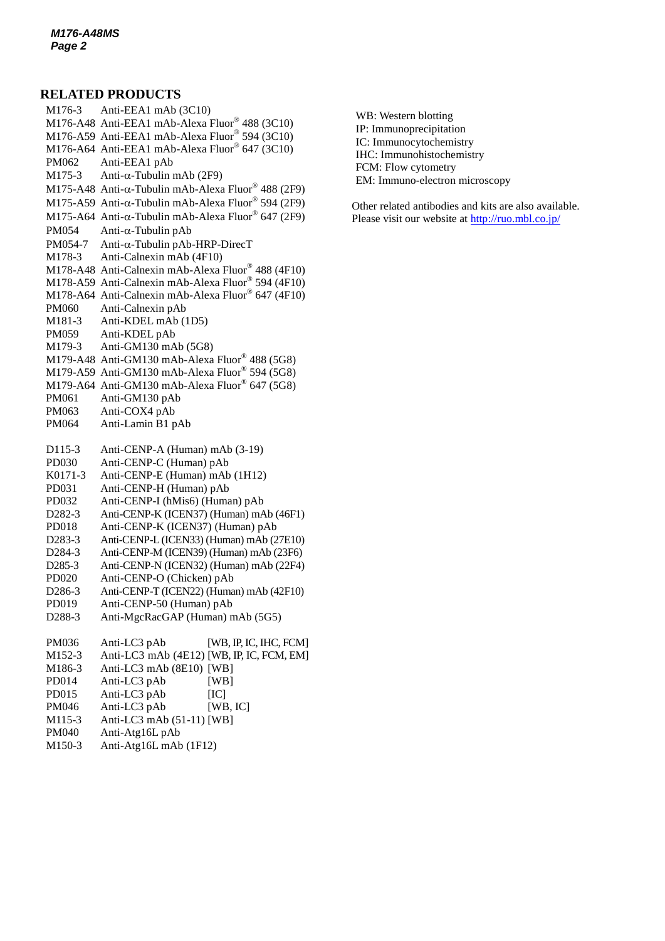#### **RELATED PRODUCTS**

M176-3 Anti-EEA1 mAb (3C10) M176-A48 Anti-EEA1 mAb-Alexa Fluor® 488 (3C10) M176-A59 Anti-EEA1 mAb-Alexa Fluor® 594 (3C10) M176-A64 Anti-EEA1 mAb-Alexa Fluor® 647 (3C10) PM062 Anti-EEA1 pAb M175-3 Anti- $\alpha$ [-Tubulin mAb](http://ruo.mbl.co.jp/dtl/A/M175-3/) (2F9) M175-A48 Anti- $\alpha$ -Tubulin mAb-Alexa Fluor® 488 (2F9) M175-A59 Anti- $\alpha$ -Tubulin mAb-Alexa Fluor® 594 (2F9) M175-A64 Anti- $\alpha$ -Tubulin mAb-Alexa Fluor® 647 (2F9)  $PM054$  Anti- $\alpha$ [-Tubulin pAb](http://ruo.mbl.co.jp/dtl/A/PM054/)  $PM054-7$  Anti- $\alpha$ [-Tubulin pAb-HRP-DirecT](http://ruo.mbl.co.jp/dtl/A/PM054-7/) M178-3 Anti-Calnexin mAb (4F10) M178-A48 Anti-Calnexin mAb-Alexa Fluor® 488 (4F10) M178-A59 Anti-Calnexin mAb-Alexa Fluor® 594 (4F10) M178-A64 Anti-Calnexin mAb-Alexa Fluor® 647 (4F10) PM060 Anti-Calnexin pAb M181-3 Anti-KDEL mAb (1D5) PM059 Anti-KDEL pAb M179-3 Anti-GM130 mAb (5G8) M179-A48 Anti-GM130 mAb-Alexa Fluor® 488 (5G8) M179-A59 Anti-GM130 mAb-Alexa Fluor® 594 (5G8) M179-A64 Anti-GM130 mAb-Alexa Fluor® 647 (5G8) PM061 Anti-GM130 pAb PM063 Anti-COX4 pAb PM064 Anti-Lamin B1 pAb D115-3 Anti-CENP-A (Human) mAb (3-19) PD030 [Anti-CENP-C \(Human\) pAb](http://ruo.mbl.co.jp/dtl/A/PD030/) K0171-3 Anti-CENP-E (Human) mAb (1H12) PD031 [Anti-CENP-H \(Human\) pAb](http://ruo.mbl.co.jp/dtl/A/PD030/) PD032 [Anti-CENP-I \(hMis6\) \(Human\) pAb](http://ruo.mbl.co.jp/dtl/A/PD032/) D282-3 [Anti-CENP-K \(ICEN37\) \(Human\) mAb](http://ruo.mbl.co.jp/dtl/A/D282-3/) (46F1) PD018 Anti-CENP-K (ICEN37) (Human) pAb D283-3 [Anti-CENP-L \(ICEN33\) \(Human\) mAb](http://ruo.mbl.co.jp/dtl/A/D283-3/) (27E10) D284-3 Anti-CENP-M [\(ICEN39\) \(Human\) mAb](http://ruo.mbl.co.jp/dtl/A/D284-3/) (23F6) D285-3 [Anti-CENP-N \(ICEN32\) \(Human\) mAb](http://ruo.mbl.co.jp/dtl/A/D285-3/) (22F4) PD020 Anti-CENP-O (Chicken) pAb D286-3 [Anti-CENP-T \(ICEN22\) \(Human\) mAb](http://ruo.mbl.co.jp/dtl/A/D286-3/) (42F10) PD019 Anti-CENP-50 (Human) pAb D288-3 Anti-MgcRacGAP (Human) mAb (5G5) PM036 Anti-LC3 pAb [WB, IP, IC, IHC, FCM] M152-3 Anti-LC3 mAb (4E12) [WB, IP, IC, FCM, EM] M186-3 Anti-LC3 mAb (8E10) [WB] PD014 Anti-LC3 pAb [WB] PD015 Anti-LC3 pAb [IC] PM046 Anti-LC3 pAb [WB, IC] M115-3 Anti-LC3 mAb (51-11) [WB] PM040 [Anti-Atg16L pAb](http://ruo.mbl.co.jp/dtl/A/PM040/)

M150-3 [Anti-Atg16L mAb](http://ruo.mbl.co.jp/dtl/A/M150-3/) (1F12)

WB: Western blotting IP: Immunoprecipitation IC: Immunocytochemistry IHC: Immunohistochemistry FCM: Flow cytometry EM: Immuno-electron microscopy

Other related antibodies and kits are also available. Please visit our website at<http://ruo.mbl.co.jp/>